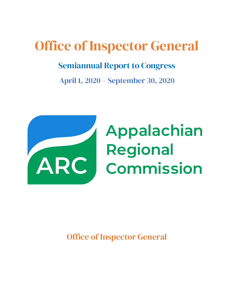# Office of Inspector General

# Semiannual Report to Congress

April 1, 2020 – September 30, 2020



# Appalachian Regional Commission

Office of Inspector General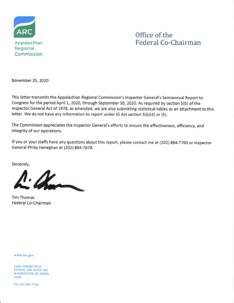

Office of the Federal Co-Chairman

November 25, 2020

This letter transmits the Appalachian Regional Commission's Inspector General's Semiannual Report to Congress for the period April 1, 2020, through September 30, 2020. As required by section S(b) of the Inspector General Act of 1978, as amended, we are also submitting statistical tables as an attachment to this letter. We do not have any information to report under IG Act section 5(b)(4) or (5).

The Commission appreciates the Inspector General's efforts to ensure the effectiveness, efficiency, and integrity of our operations.

If you or your staffs have any questions about this report, please contact me at {202) **884-**7760 or Inspector General Philip Heneghan at {202) 884-7678.

Sincerely,

Tim Thomas Federal co-Chairman

www.arc.gov

1666 CONNECTICUT AVENUE, **NW.** SUITE 700 WASHINGTON, DC 20009-1068

PH. 202 884 7700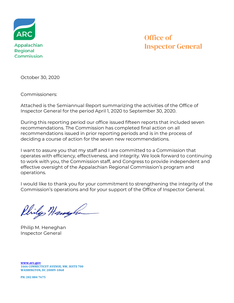

Office of Inspector General

October 30, 2020

Commissioners:

Attached is the Semiannual Report summarizing the activities of the Office of Inspector General for the period April 1, 2020 to September 30, 2020.

During this reporting period our office issued fifteen reports that included seven recommendations. The Commission has completed final action on all recommendations issued in prior reporting periods and is in the process of deciding a course of action for the seven new recommendations.

I want to assure you that my staff and I are committed to a Commission that operates with efficiency, effectiveness, and integrity. We look forward to continuing to work with you, the Commission staff, and Congress to provide independent and effective oversight of the Appalachian Regional Commission's program and operations.

I would like to thank you for your commitment to strengthening the integrity of the Commission's operations and for your support of the Office of Inspector General.

Philip Hangha

Philip M. Heneghan Inspector General

**[www.arc.gov](http://www.arc.gov/) 1666 CONNECTICUT AVENUE, NW, SUITE 700 WASHINGTON, DC 20009-1068**

**PH. 202 884 7675**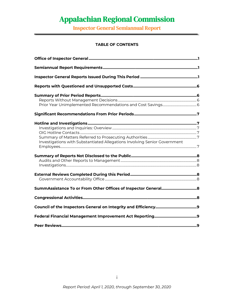Inspector General Semiannual Report

#### **TABLE OF CONTENTS**

| Investigations with Substantiated Allegations Involving Senior Government |  |
|---------------------------------------------------------------------------|--|
|                                                                           |  |
|                                                                           |  |
|                                                                           |  |
|                                                                           |  |
|                                                                           |  |
|                                                                           |  |
|                                                                           |  |
|                                                                           |  |
|                                                                           |  |
|                                                                           |  |
|                                                                           |  |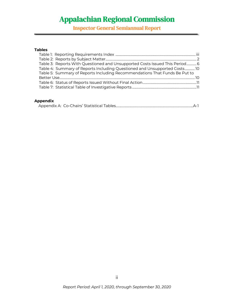Inspector General Semiannual Report

#### **Tables**

| Table 3: Reports With Questioned and Unsupported Costs Issued This Period 6 |  |
|-----------------------------------------------------------------------------|--|
| Table 4: Summary of Reports Including Questioned and Unsupported Costs10    |  |
| Table 5: Summary of Reports Including Recommendations That Funds Be Put to  |  |
|                                                                             |  |
|                                                                             |  |
|                                                                             |  |

#### **Appendix**

| Appendix A: Co-Chairs' Statistical Tables. |  |
|--------------------------------------------|--|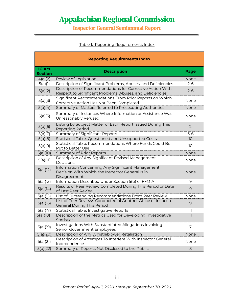Inspector General Semiannual Report

#### Table 1: Reporting Requirements Index

| <b>Reporting Requirements Index</b> |                                                                                                                        |                 |  |  |
|-------------------------------------|------------------------------------------------------------------------------------------------------------------------|-----------------|--|--|
| <b>IG Act</b><br><b>Section</b>     | <b>Description</b>                                                                                                     | Page            |  |  |
| 4(a)(2)                             | Review of Legislation                                                                                                  | None            |  |  |
| 5(a)(1)                             | Description of Significant Problems, Abuses, and Deficiencies                                                          | $2 - 6$         |  |  |
| 5(a)(2)                             | Description of Recommendations for Corrective Action With<br>Respect to Significant Problems, Abuses, and Deficiencies | $2 - 6$         |  |  |
| 5(a)(3)                             | Significant Recommendations From Prior Reports on Which<br>Corrective Action Has Not Been Completed                    | None            |  |  |
| 5(a)(4)                             | Summary of Matters Referred to Prosecuting Authorities                                                                 | None            |  |  |
| 5(a)(5)                             | Summary of Instances Where Information or Assistance Was<br>Unreasonably Refused                                       | None            |  |  |
| 5(a)(6)                             | Listing by Subject Matter of Each Report Issued During This<br><b>Reporting Period</b>                                 | $\overline{2}$  |  |  |
| 5(a)(7)                             | Summary of Significant Reports                                                                                         | $3-6$           |  |  |
| 5(a)(8)                             | Statistical Table: Questioned and Unsupported Costs                                                                    | 10 <sup>°</sup> |  |  |
| 5(a)(9)                             | Statistical Table: Recommendations Where Funds Could Be<br>Put to Better Use                                           | 10              |  |  |
| 5(a)(10)                            | Summary of Prior Reports                                                                                               | None            |  |  |
| 5(a)(11)                            | Description of Any Significant Revised Management<br>Decisions                                                         | None            |  |  |
| 5(a)(12)                            | Information Concerning Any Significant Management<br>Decision With Which the Inspector General Is in<br>Disagreement   | None            |  |  |
| 5(a)(13)                            | Information Described Under Section 5(b) of FFMIA                                                                      | 9               |  |  |
| 5(a)(14)                            | Results of Peer Review Completed During This Period or Date<br>of Last Peer Review                                     | 9               |  |  |
| 5(a)(15)                            | List of Outstanding Recommendations From Peer Review                                                                   | None            |  |  |
| 5(a)(16)                            | List of Peer Reviews Conducted of Another Office of Inspector<br><b>General During This Period</b>                     | 9               |  |  |
| 5(a)(17)                            | Statistical Table: Investigative Reports                                                                               | 11              |  |  |
| 5(a)(18)                            | Description of the Metrics Used for Developing Investigative<br><b>Statistics</b>                                      | 11              |  |  |
| 5(a)(19)                            | Investigations With Substantiated Allegations Involving<br>Senior Government Employees                                 | 7               |  |  |
| 5(a)(20)                            | Description of Any Whistleblower Retaliation                                                                           | None            |  |  |
| 5(a)(21)                            | Description of Attempts To Interfere With Inspector General<br>Independence                                            | None            |  |  |
| 5(a)(22)                            | Summary of Reports Not Disclosed to the Public                                                                         | 8               |  |  |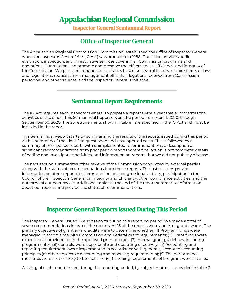Inspector General Semiannual Report

### Office of Inspector General

The Appalachian Regional Commission (Commission) established the Office of Inspector General when the *Inspector General Act* (IG Act) was amended in 1988. Our office provides audit, evaluation, inspection, and investigative services covering all Commission programs and operations. Our mission is to promote and preserve the effectiveness, efficiency, and integrity of the Commission. We plan and conduct our activities based on several factors: requirements of laws and regulations, requests from management officials, allegations received from Commission personnel and other sources, and the Inspector General's initiative.

### Semiannual Report Requirements

The IG Act requires each Inspector General to prepare a report twice a year that summarizes the activities of the office. This Semiannual Report covers the period from April 1, 2020, through September 30, 2020. The 23 requirements shown in table 1 are specified in the IG Act and must be included in the report.

This Semiannual Report starts by summarizing the results of the reports issued during this period with a summary of the identified questioned and unsupported costs. This is followed by a summary of prior period reports with unimplemented recommendations; a description of significant recommendations from prior period reports where final action is not complete; details of hotline and investigative activities; and information on reports that we did not publicly disclose.

The next section summarizes other reviews of the Commission conducted by external parties, along with the status of recommendations from those reports. The last sections provide information on other reportable items and include congressional activity, participation in the Council of the Inspectors General on Integrity and Efficiency, other compliance activities, and the outcome of our peer review. Additional tables at the end of the report summarize information about our reports and provide the status of recommendations.

### Inspector General Reports Issued During This Period

The Inspector General issued 15 audit reports during this reporting period. We made a total of seven recommendations in two of the reports. All 15 of the reports were audits of grant awards. The primary objectives of grant award audits were to determine whether: (1) Program funds were managed in accordance with Commission and Federal grant requirements; (2) Grant funds were expended as provided for in the approved grant budget; (3) Internal grant guidelines, including program (internal) controls, were appropriate and operating effectively; (4) Accounting and reporting requirements were implemented in accordance with generally accepted accounting principles (or other applicable accounting and reporting requirements); (5) The performance measures were met or likely to be met; and (6) Matching requirements of the grant were satisfied.

A listing of each report issued during this reporting period, by subject matter, is provided in table 2.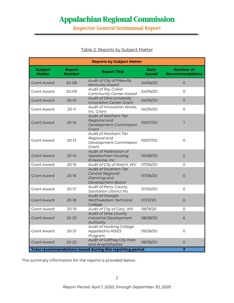Inspector General Semiannual Report

| <b>Reports by Subject Matter</b>                               |                                |                                                                                        |                              |                                            |  |
|----------------------------------------------------------------|--------------------------------|----------------------------------------------------------------------------------------|------------------------------|--------------------------------------------|--|
| <b>Subject</b><br><b>Matter</b>                                | <b>Report</b><br><b>Number</b> | <b>Report Title</b>                                                                    | <b>Date</b><br><b>Issued</b> | <b>Number of</b><br><b>Recommendations</b> |  |
| <b>Grant Award</b>                                             | 20-08                          | Audit of City of Pikeville,<br><b>Kentucky Award</b>                                   | 04/06/20                     | $\Omega$                                   |  |
| Grant Award                                                    | 20-09                          | <b>Audit of Roy Collier</b><br><b>Community Center Award</b>                           | 04/06/20                     | O                                          |  |
| <b>Grant Award</b>                                             | $20-10$                        | <b>Audit of Ohio University</b><br><b>Innovation Center Grant</b>                      | 04/30/20                     | $\Omega$                                   |  |
| <b>Grant Award</b>                                             | $20-11$                        | Audit of Innovation Works,<br>Inc. Grant                                               | 04/30/20                     | $\circ$                                    |  |
| <b>Grant Award</b>                                             | $20-12$                        | <b>Audit of Northern Tier</b><br>Regional and<br>Development Commission<br>Grant       | 05/07/20                     | 1                                          |  |
| <b>Grant Award</b>                                             | $20-13$                        | Audit of Northern Tier<br>Regional and<br>Development Commission<br>Grant              | 05/07/20                     | $\Omega$                                   |  |
| <b>Grant Award</b>                                             | $20 - 14$                      | <b>Audit of Federation of</b><br><b>Appalachian Housing</b><br>Enterprise, Inc.        | 05/08/20                     | 0                                          |  |
| <b>Grant Award</b>                                             | 20-15                          | Audit of City of Welch, WV                                                             | 07/06/20                     | 0                                          |  |
| <b>Grant Award</b>                                             | $20 - 16$                      | Audit of Southern Tier<br><b>Central Regional</b><br>Planning and<br>Development Board | 07/06/20                     | O                                          |  |
| <b>Grant Award</b>                                             | 20-17                          | <b>Audit of Perry County</b><br>Sanitation District No.                                | 07/30/20                     | $\circ$                                    |  |
| <b>Grant Award</b>                                             | $20-18$                        | <b>Audit of Georgia</b><br>Northwestern Technical<br>College                           | 07/31/20                     | $\Omega$                                   |  |
| <b>Grant Award</b>                                             | 20-19                          | Audit of City of Gary, WV                                                              | 08/19/20                     | $\Omega$                                   |  |
| <b>Grant Award</b>                                             | 20-20                          | <b>Audit of Wise County</b><br><b>Industrial Development</b><br>Authority              | 08/28/20                     | 6                                          |  |
| Grant Award                                                    | $20 - 21$                      | Audit of Hocking College<br><b>Appalachia RISES</b><br>Program                         | 09/28/20                     | $\Omega$                                   |  |
| <b>Grant Award</b>                                             | $20 - 22$                      | <b>Audit of Gaffney City Park</b><br>and Amphitheater                                  | 09/28/20                     | $\Omega$                                   |  |
| Total recommendations issued during this reporting period<br>7 |                                |                                                                                        |                              |                                            |  |

#### Table 2: Reports by Subject Matter

The summary information for the reports is provided below.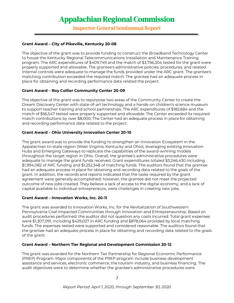Inspector General Semiannual Report

#### **Grant Award – City of Pikeville, Kentucky 20-08**

The objective of the grant was to provide funding to construct the Broadband Technology Center to house the Kentucky Regional Telecommunications Installation and Maintenance Training program. The ARC expenditures of \$409,749 and the match of \$3,756,304 tested for the grant were properly supported and allowable. The grantee's administrative policies, procedures, and related internal controls were adequate to manage the funds provided under the ARC grant. The grantee's matching contribution exceeded the required match. The grantee had an adequate process in place for obtaining and recording performance data related the project.

#### **Grant Award – Roy Collier Community Center 20-09**

The objective of the grant was to repurpose two areas of the Community Center to create the Dream Discovery Center with state-of-art technology and a hands-on children's science museum to support teacher training and school partnerships. The ARC expenditures of \$182,684 and the match of \$56,547 tested were properly supported and allowable. The Center exceeded its required match contributions by over \$8,000. The Center had an adequate process in place for obtaining and recording performance data related to the project.

#### **Grant Award – Ohio University Innovation Center 20-10**

The grant award was to provide the funding to strengthen an Innovation Ecosystem in the Appalachian tri-state region (West Virginia, Kentucky and Ohio), leveraging existing Innovation Hubs and Emerging Gateways to replicate the capabilities of the award-winning models throughout the target region in Ohio. Overall, the grantee's administrative procedures were adequate to manage the grant funds received. Grant expenditures totaled \$3,246,430 including \$1,994,082 of ARC funding and \$1,252,348 of matching funds. The auditors found that the grantee had an adequate process in place for obtaining and recording data related to the goals of the grant. In addition, the records and reports indicated that the tasks required by the grant agreement were generally accomplished; however, the grantee did not meet the projected outcome of new jobs created. They believe a lack of access to the digital economy, and a lack of capital available to individual entrepreneurs, were challenges in creating new jobs.

#### **Grant Award – Innovation Works, Inc. 20-11**

The grant was awarded to Innovation Works, Inc. for the Revitalization of Southwestern Pennsylvania Coal-Impacted Communities through Innovation and Entrepreneurship. Based on audit procedures performed, the auditor did not question any costs incurred. Total grant expenses were \$1,307,091, including \$429,027 in ARC funding and \$878,064 provided by local matching funds. The expenses tested were supported and considered reasonable. The auditors found that the grantee had an adequate process in place for obtaining and recording data related to the goals of the grant.

#### **Grant Award – Northern Tier Regional and Development Commission 20-12**

The grant was awarded for the Northern Tier Partnership for Regional Economic Performance (PREP) Program. Major components of the PREP program include business development assistance and services, electronic commerce, the tourism industry, and business financing. The audit objectives were to determine whether the grantee's administrative procedures were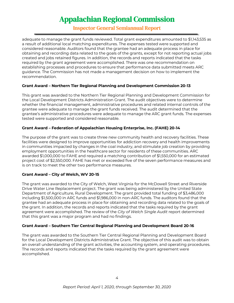Inspector General Semiannual Report

adequate to manage the grant funds reviewed. Total grant expenditures amounted to \$1,143,535 as a result of additional local matching expenditures. The expenses tested were supported and considered reasonable. Auditors found that the grantee had an adequate process in place for obtaining and recording data related to the goals of the grants, except for not reporting actual jobs created and jobs retained figures. In addition, the records and reports indicated that the tasks required by the grant agreement were accomplished. There was one recommendation on establishing processes and procedures to ensure that performance data submitted meets ARC guidance. The Commission has not made a management decision on how to implement the recommendation.

#### **Grant Award – Northern Tier Regional Planning and Development Commission 20-13**

This grant was awarded to the Northern Tier Regional Planning and Development Commission for the Local Development Districts Administration Grant. The audit objectives were to determine whether the financial management, administrative procedures and related internal controls of the grantee were adequate to manage the grant funds received. The audit determined that the grantee's administrative procedures were adequate to manage the ARC grant funds. The expenses tested were supported and considered reasonable.

#### **Grant Award – Federation of Appalachian Housing Enterprise, Inc. (FAHE) 20-14**

The purpose of the grant was to create three new community health and recovery facilities. These facilities were designed to improve opportunities for addiction recovery and health improvements in communities impacted by changes in the coal industry, and stimulate job creation by providing employment opportunities in the healthcare sector for residents of these communities. ARC awarded \$1,000,000 to FAHE and required a matching contribution of \$1,550,000 for an estimated project cost of \$2,550,000. FAHE has met or exceeded five of the seven performance measures and is on track to meet the other two performance measures.

#### **Grant Award – City of Welch, WV 20-15**

The grant was awarded to the City of Welch, West Virginia for the McDowell Street and Riverside Drive Water Line Replacement project. The grant was being administered by the United State Department of Agriculture, Rural Development. The grant provided total funding of \$3,486,000 including \$1,500,000 in ARC funds and \$1,986,000 in non-ARC funds. The auditors found that the grantee had an adequate process in place for obtaining and recording data related to the goals of the grant. In addition, the records and reports indicated that the tasks required by the grant agreement were accomplished. The review of the *City of Welch Single Audit* report determined that this grant was a major program and had no findings.

#### **Grant Award – Southern Tier Central Regional Planning and Development Board 20-16**

The grant was awarded to the Southern Tier Central Regional Planning and Development Board for the Local Development Districts Administrative Grant. The objective of this audit was to obtain an overall understanding of the grant activities, the accounting system, and operating procedures. The records and reports indicated that the tasks required by the grant agreement were accomplished.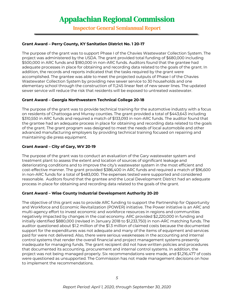Inspector General Semiannual Report

#### **Grant Award – Perry County, KY Sanitation District No. 1 20-17**

The purpose of the grant was to support Phase I of the Chavies Wastewater Collection System. The project was administered by the USDA. The grant provided total funding of \$680,000 including \$500,000 in ARC funds and \$180,000 in non-ARC funds. Auditors found that the grantee had adequate processes in place for obtaining and recording data related to the goals of the grant. In addition, the records and reports indicated that the tasks required by the grant were accomplished. The grantee was able to meet the projected outputs of Phase I of the Chavies Wastewater Collection System by providing new sewer service to 30 households and one elementary school through the construction of 11,245 linear feet of new sewer lines. The updated sewer service will reduce the risk that residents will be exposed to untreated wastewater.

#### **Grant Award – Georgia Northwestern Technical College 20-18**

The purpose of the grant was to provide technical training for the automotive industry with a focus on residents of Chattooga and Murray counties. The grant provided a total of \$443,643 including \$310,550 in ARC funds and required a match of \$133,093 in non-ARC funds. The auditor found that the grantee had an adequate process in place for obtaining and recording data related to the goals of the grant. The grant program was designed to meet the needs of local automobile and other advanced manufacturing employers by providing technical training focused on repairing and maintaining die press equipment.

#### **Grant Award – City of Gary, WV 20-19**

The purpose of the grant was to conduct an evaluation of the Gary wastewater system and treatment plant to assess the extent and location of sources of significant leakage and deteriorating conditions and to improve the city's wastewater system in the most efficient and cost-effective manner. The grant provided \$386,400 in ARC funds and required a match of \$96,600 in non-ARC funds for a total of \$483,000. The expenses tested were supported and considered reasonable. Auditors found that the grantee and the Local Development District had an adequate process in place for obtaining and recording data related to the goals of the grant.

#### **Grant Award – Wise County Industrial Development Authority 20-20**

The objective of this grant was to provide ARC funding to support the Partnership for Opportunity and Workforce and Economic Revitalization (POWER) initiative. The Power initiative is an ARC and multi-agency effort to invest economic and workforce resources in regions and communities negatively impacted by changes in the coal economy. ARC provided \$2,220,000 in funding and initially identified \$880,000 (revised in January 2018 to \$1,233,750) in non-ARC matching funds. The auditor questioned about \$1.2 million of the \$1.3 million of claimed costs because the documented support for the expenditures was not adequate and many of the items of equipment and services paid for were not delivered. Also, there were serious weaknesses in the accounting and internal control systems that render the overall financial and project management systems presently inadequate for managing funds. The grant recipient did not have written policies and procedures that documented its accounting, procurement and internal control systems. In addition, the project was not being managed properly. Six recommendations were made, and \$1,216,477 of costs were questioned as unsupported. The Commission has not made management decisions on how to implement the recommendations.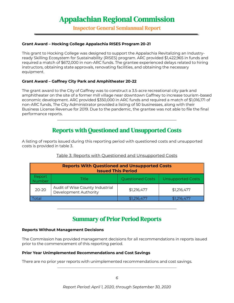Inspector General Semiannual Report

#### **Grant Award – Hocking College Appalachia RISES Program 20-21**

This grant to Hocking College was designed to support the Appalachia Revitalizing an Industryready Skilling Ecosystem for Sustainability (RISES) program. ARC provided \$1,422,965 in funds and required a match of \$672,000 in non-ARC funds. The grantee experienced delays related to hiring instructors, obtaining state approvals, renovating facilities, and obtaining the necessary equipment.

#### **Grant Award – Gaffney City Park and Amphitheater 20-22**

The grant award to the City of Gaffney was to construct a 3.5-acre recreational city park and amphitheater on the site of a former mill village near downtown Gaffney to increase tourism-based economic development. ARC provided \$350,000 in ARC funds and required a match of \$1,016,171 of non-ARC funds, The City Administrator provided a listing of 50 businesses, along with their Business License Revenue for 2019. Due to the pandemic, the grantee was not able to file the final performance reports.

### Reports with Questioned and Unsupported Costs

A listing of reports issued during this reporting period with questioned costs and unsupported costs is provided in table 3.

| <b>Reports With Questioned and Unsupported Costs</b><br><b>Issued This Period</b> |                                                          |                         |                          |  |
|-----------------------------------------------------------------------------------|----------------------------------------------------------|-------------------------|--------------------------|--|
| Report<br>Number                                                                  | Title                                                    | <b>Questioned Costs</b> | <b>Unsupported Costs</b> |  |
| $20 - 20$                                                                         | Audit of Wise County Industrial<br>Development Authority | \$1,216,477             | \$1,216,477              |  |
| \$1,216,477<br>Total<br>\$1,216,477                                               |                                                          |                         |                          |  |

#### Table 3: Reports with Questioned and Unsupported Costs

### Summary of Prior Period Reports

#### **Reports Without Management Decisions**

The Commission has provided management decisions for all recommendations in reports issued prior to the commencement of this reporting period.

#### **Prior Year Unimplemented Recommendations and Cost Savings**

There are no prior year reports with unimplemented recommendations and cost savings.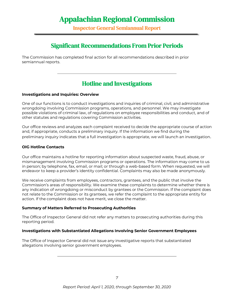Inspector General Semiannual Report

### Significant Recommendations From Prior Periods

The Commission has completed final action for all recommendations described in prior semiannual reports.

### Hotline and Investigations

#### **Investigations and Inquiries: Overview**

One of our functions is to conduct investigations and inquiries of criminal, civil, and administrative wrongdoing involving Commission programs, operations, and personnel. We may investigate possible violations of criminal law, of regulations on employee responsibilities and conduct, and of other statutes and regulations covering Commission activities.

Our office reviews and analyzes each complaint received to decide the appropriate course of action and, if appropriate, conducts a preliminary inquiry. If the information we find during the preliminary inquiry indicates that a full investigation is appropriate, we will launch an investigation.

#### **OIG Hotline Contacts**

Our office maintains a hotline for reporting information about suspected waste, fraud, abuse, or mismanagement involving Commission programs or operations. The information may come to us in person; by telephone, fax, email, or mail; or through a web-based form. When requested, we will endeavor to keep a provider's identity confidential. Complaints may also be made anonymously.

We receive complaints from employees, contractors, grantees, and the public that involve the Commission's areas of responsibility. We examine these complaints to determine whether there is any indication of wrongdoing or misconduct by grantees or the Commission. If the complaint does not relate to the Commission or its grantees, we refer the complaint to the appropriate entity for action. If the complaint does not have merit, we close the matter.

#### **Summary of Matters Referred to Prosecuting Authorities**

The Office of Inspector General did not refer any matters to prosecuting authorities during this reporting period.

#### **Investigations with Substantiated Allegations Involving Senior Government Employees**

The Office of Inspector General did not issue any investigative reports that substantiated allegations involving senior government employees.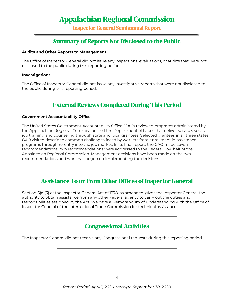Inspector General Semiannual Report

### Summary of Reports Not Disclosed to the Public

#### **Audits and Other Reports to Management**

The Office of Inspector General did not issue any inspections, evaluations, or audits that were not disclosed to the public during this reporting period.

#### **Investigations**

The Office of Inspector General did not issue any investigative reports that were not disclosed to the public during this reporting period.

### External Reviews Completed During This Period

#### **Government Accountability Office**

The United States Government Accountability Office (GAO) reviewed programs administered by the Appalachian Regional Commission and the Department of Labor that deliver services such as job training and counseling through state and local grantees. Selected grantees in all three states GAO visited described common challenges faced by workers from enrollment in assistance programs through re-entry into the job market. In its final report, the GAO made seven recommendations, two recommendations were addressed to the Federal Co-Chair of the Appalachian Regional Commission. Management decisions have been made on the two recommendations and work has begun on implementing the decisions.

### Assistance To or From Other Offices of Inspector General

Section 6(a)(3) of the Inspector General Act of 1978, as amended, gives the Inspector General the authority to obtain assistance from any other Federal agency to carry out the duties and responsibilities assigned by the Act. We have a Memorandum of Understanding with the Office of Inspector General of the International Trade Commission for technical assistance.

### Congressional Activities

The Inspector General did not receive any Congressional requests during this reporting period.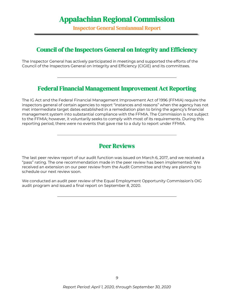Inspector General Semiannual Report

### Council of the Inspectors General on Integrity and Efficiency

The Inspector General has actively participated in meetings and supported the efforts of the Council of the Inspectors General on Integrity and Efficiency (CIGIE) and its committees.

### Federal Financial Management Improvement Act Reporting

The IG Act and the Federal Financial Management Improvement Act of 1996 (FFMIA) require the inspectors general of certain agencies to report "instances and reasons" when the agency has not met intermediate target dates established in a remediation plan to bring the agency's financial management system into substantial compliance with the FFMIA. The Commission is not subject to the FFMIA; however, it voluntarily seeks to comply with most of its requirements. During this reporting period, there were no events that gave rise to a duty to report under FFMIA.

### Peer Reviews

The last peer review report of our audit function was issued on March 6, 2017, and we received a "pass" rating. The one recommendation made in the peer review has been implemented. We received an extension on our peer review from the Audit Committee and they are planning to schedule our next review soon.

We conducted an audit peer review of the Equal Employment Opportunity Commission's OIG audit program and issued a final report on September 8, 2020.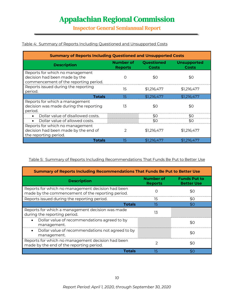Inspector General Semiannual Report

#### Table 4: Summary of Reports Including Questioned and Unsupported Costs

| <b>Summary of Reports Including Questioned and Unsupported Costs</b>                                      |                                    |                            |                                    |  |  |
|-----------------------------------------------------------------------------------------------------------|------------------------------------|----------------------------|------------------------------------|--|--|
| <b>Description</b>                                                                                        | <b>Number of</b><br><b>Reports</b> | Questioned<br><b>Costs</b> | <b>Unsupported</b><br><b>Costs</b> |  |  |
| Reports for which no management<br>decision had been made by the<br>commencement of the reporting period. | Ω                                  | \$0                        | \$0                                |  |  |
| Reports issued during the reporting<br>period.                                                            | 15                                 | \$1,216,477                | \$1,216,477                        |  |  |
| <b>Totals</b><br>\$1,216,477<br>\$1,216,477<br>15                                                         |                                    |                            |                                    |  |  |
| Reports for which a management<br>decision was made during the reporting<br>period.                       | 13                                 | \$0                        | \$0                                |  |  |
| Dollar value of disallowed costs.                                                                         |                                    | \$0                        | \$0                                |  |  |
| Dollar value of allowed costs.<br>$\bullet$                                                               |                                    | \$0                        | \$0                                |  |  |
| Reports for which no management<br>decision had been made by the end of<br>the reporting period.          |                                    | \$1,216,477                | \$1,216,477                        |  |  |
| \$1,216,477<br>\$1,216,477<br><b>Totals</b><br>15                                                         |                                    |                            |                                    |  |  |

Table 5: Summary of Reports Including Recommendations That Funds Be Put to Better Use

| Summary of Reports Including Recommendations That Funds Be Put to Better Use                           |                             |                                          |  |  |
|--------------------------------------------------------------------------------------------------------|-----------------------------|------------------------------------------|--|--|
| <b>Description</b>                                                                                     | Number of<br><b>Reports</b> | <b>Funds Put to</b><br><b>Better Use</b> |  |  |
| Reports for which no management decision had been<br>made by the commencement of the reporting period. |                             | \$0                                      |  |  |
| Reports issued during the reporting period.                                                            | 15                          | \$0                                      |  |  |
| <b>Totals</b>                                                                                          | 15                          | \$0                                      |  |  |
| Reports for which a management decision was made<br>during the reporting period.                       | 13                          |                                          |  |  |
| Dollar value of recommendations agreed to by<br>$\bullet$<br>management.                               |                             | \$0                                      |  |  |
| Dollar value of recommendations not agreed to by<br>$\bullet$<br>management.                           |                             | \$0                                      |  |  |
| Reports for which no management decision had been<br>made by the end of the reporting period.          | $\mathcal{P}$               | \$0                                      |  |  |
| Totals                                                                                                 | 15                          | \$O                                      |  |  |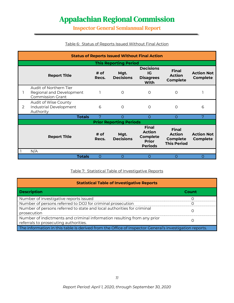Inspector General Semiannual Report

|  |  | Table 6: Status of Reports Issued Without Final Action |  |
|--|--|--------------------------------------------------------|--|
|  |  |                                                        |  |

|   | <b>Status of Reports Issued Without Final Action</b>                                                                                                                                                                                                                     |               |                                |                                                           |                                                  |                                      |
|---|--------------------------------------------------------------------------------------------------------------------------------------------------------------------------------------------------------------------------------------------------------------------------|---------------|--------------------------------|-----------------------------------------------------------|--------------------------------------------------|--------------------------------------|
|   |                                                                                                                                                                                                                                                                          |               | <b>This Reporting Period</b>   |                                                           |                                                  |                                      |
|   | <b>Report Title</b>                                                                                                                                                                                                                                                      | # of<br>Recs. | Mgt.<br><b>Decisions</b>       | <b>Decisions</b><br>IG<br><b>Disagrees</b><br><b>With</b> | <b>Final</b><br><b>Action</b><br><b>Complete</b> | <b>Action Not</b><br><b>Complete</b> |
|   | Audit of Northern Tier<br>Regional and Development<br><b>Commission Grant</b>                                                                                                                                                                                            |               | O                              | $\circ$                                                   | $\circ$                                          |                                      |
| 2 | Audit of Wise County<br><b>Industrial Development</b><br>Authority                                                                                                                                                                                                       | 6             | $\circ$                        | $\Omega$                                                  | $\Omega$                                         | 6                                    |
|   | <b>Totals</b>                                                                                                                                                                                                                                                            |               | $\Omega$                       | $\circ$                                                   | $\circ$                                          | 7                                    |
|   |                                                                                                                                                                                                                                                                          |               | <b>Prior Reporting Periods</b> |                                                           |                                                  |                                      |
|   | <b>Final</b><br><b>Final</b><br><b>Action</b><br><b>Action</b><br><b>Action Not</b><br># of<br>Mgt.<br><b>Complete</b><br><b>Report Title</b><br><b>Decisions</b><br><b>Complete</b><br><b>Complete</b><br>Recs.<br><b>Prior</b><br><b>This Period</b><br><b>Periods</b> |               |                                |                                                           |                                                  |                                      |
|   | N/A                                                                                                                                                                                                                                                                      |               |                                |                                                           |                                                  |                                      |
|   | <b>Totals</b>                                                                                                                                                                                                                                                            | O             | 0                              | O                                                         | O                                                | O                                    |

#### Table 7: Statistical Table of Investigative Reports

| <b>Statistical Table of Investigative Reports</b>                                                                |       |  |  |  |
|------------------------------------------------------------------------------------------------------------------|-------|--|--|--|
| <b>Description</b>                                                                                               | Count |  |  |  |
| Number of investigative reports issued                                                                           |       |  |  |  |
| Number of persons referred to DOJ for criminal prosecution                                                       | ∩     |  |  |  |
| Number of persons referred to state and local authorities for criminal<br>prosecution                            |       |  |  |  |
| Number of indictments and criminal information resulting from any prior<br>referrals to prosecuting authorities. |       |  |  |  |
| The information in this table is derived from the Office of Inspector General's investigation reports.           |       |  |  |  |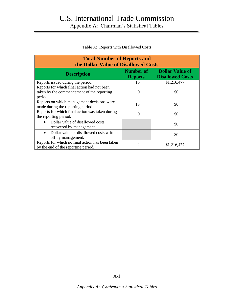# U.S. International Trade Commission

Appendix A: Chairman's Statistical Tables

| <b>Total Number of Reports and</b><br>the Dollar Value of Disallowed Costs                           |                                    |                                                   |  |  |  |
|------------------------------------------------------------------------------------------------------|------------------------------------|---------------------------------------------------|--|--|--|
| <b>Description</b>                                                                                   | <b>Number of</b><br><b>Reports</b> | <b>Dollar Value of</b><br><b>Disallowed Costs</b> |  |  |  |
| Reports issued during the period.                                                                    | 15                                 | \$1,216,477                                       |  |  |  |
| Reports for which final action had not been<br>taken by the commencement of the reporting<br>period. | $\theta$                           | \$0                                               |  |  |  |
| Reports on which management decisions were<br>made during the reporting period.                      | 13                                 | \$0                                               |  |  |  |
| Reports for which final action was taken during<br>the reporting period.                             | $\Omega$                           | \$0                                               |  |  |  |
| Dollar value of disallowed costs,<br>$\bullet$<br>recovered by management.                           |                                    | \$0                                               |  |  |  |
| Dollar value of disallowed costs written<br>$\bullet$<br>off by management.                          |                                    | \$0                                               |  |  |  |
| Reports for which no final action has been taken<br>by the end of the reporting period.              | 2                                  | \$1,216,477                                       |  |  |  |

#### Table A: Reports with Disallowed Costs